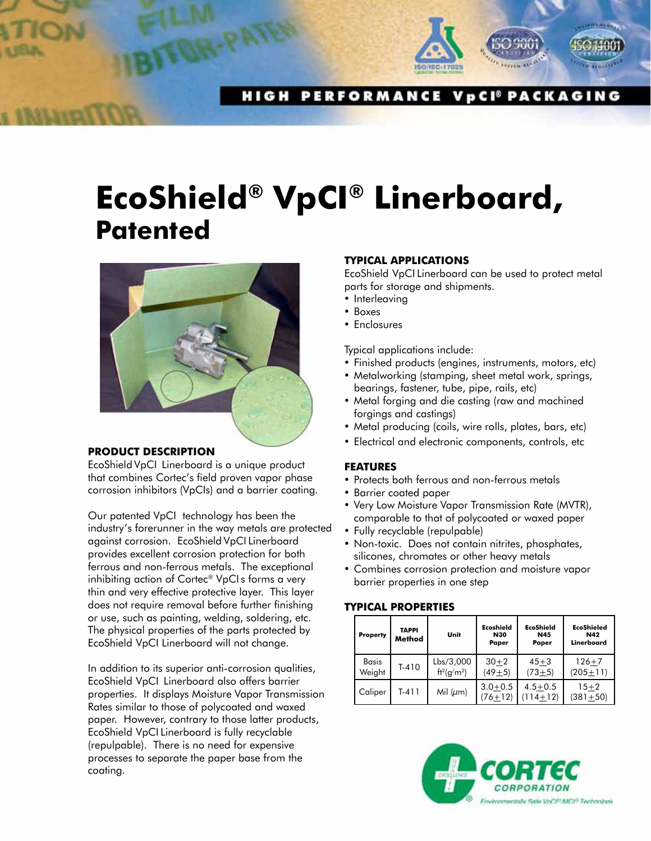

**HIGH PERFORMANCE VpCI<sup>®</sup> PACKAGING** 

# **EcoShield® VpCI® Linerboard, Patented**



## **PRODUCT DESCRIPTION**

EcoShield VpCI Linerboard is a unique product that combines Cortec's field proven vapor phase corrosion inhibitors (VpCIs) and a barrier coating.

Our patented VpCI technology has been the industry's forerunner in the way metals are protected against corrosion. EcoShield VpCI Linerboard provides excellent corrosion protection for both ferrous and non-ferrous metals. The exceptional inhibiting action of Cortec® VpCI s forms a very thin and very effective protective layer. This layer does not require removal before further finishing or use, such as painting, welding, soldering, etc. The physical properties of the parts protected by EcoShield VpCI Linerboard will not change.

In addition to its superior anti-corrosion qualities, EcoShield VpCI Linerboard also offers barrier properties. It displays Moisture Vapor Transmission Rates similar to those of polycoated and waxed paper. However, contrary to those latter products, EcoShield VpCI Linerboard is fully recyclable (repulpable). There is no need for expensive processes to separate the paper base from the coating.

## **TYPICAL APPLICATIONS**

EcoShield VpCI Linerboard can be used to protect metal parts for storage and shipments.

- Interleaving
- • Boxes
- Enclosures

Typical applications include:

- Finished products (engines, instruments, motors, etc)
- Metalworking (stamping, sheet metal work, springs, bearings, fastener, tube, pipe, rails, etc)
- Metal forging and die casting (raw and machined forgings and castings)
- Metal producing (coils, wire rolls, plates, bars, etc)
- Electrical and electronic components, controls, etc

## **FEATURES**

- Protects both ferrous and non-ferrous metals
- • Barrier coated paper
- Very Low Moisture Vapor Transmission Rate (MVTR), comparable to that of polycoated or waxed paper
- • Fully recyclable (repulpable)
- Non-toxic. Does not contain nitrites, phosphates, silicones, chromates or other heavy metals
- Combines corrosion protection and moisture vapor barrier properties in one step

## **TYPICAL PROPERTIES**

| <b>Property</b>        | TAPPI<br>Method | Unit                                     | Ecoshield<br><b>N30</b><br>Paper | <b>EcoShield</b><br><b>N45</b><br>Paper | <b>EcoShieled</b><br><b>N42</b><br>Linerboard |
|------------------------|-----------------|------------------------------------------|----------------------------------|-----------------------------------------|-----------------------------------------------|
| <b>Basis</b><br>Weight | $T-410$         | Lbs/3,000<br>$\text{ft}^2\text{(q/m}^2)$ | $30 + 2$<br>$(49+5)$             | $45 + 3$<br>$(73+5)$                    | $126 + 7$<br>$(205 + 11)$                     |
| Caliper                | T-411           | Mil $(\mu m)$                            | $3.0 + 0.5$<br>$(76+12)$         | $4.5 + 0.5$<br>$(114+12)$               | $15 + 2$<br>$(381 + 50)$                      |